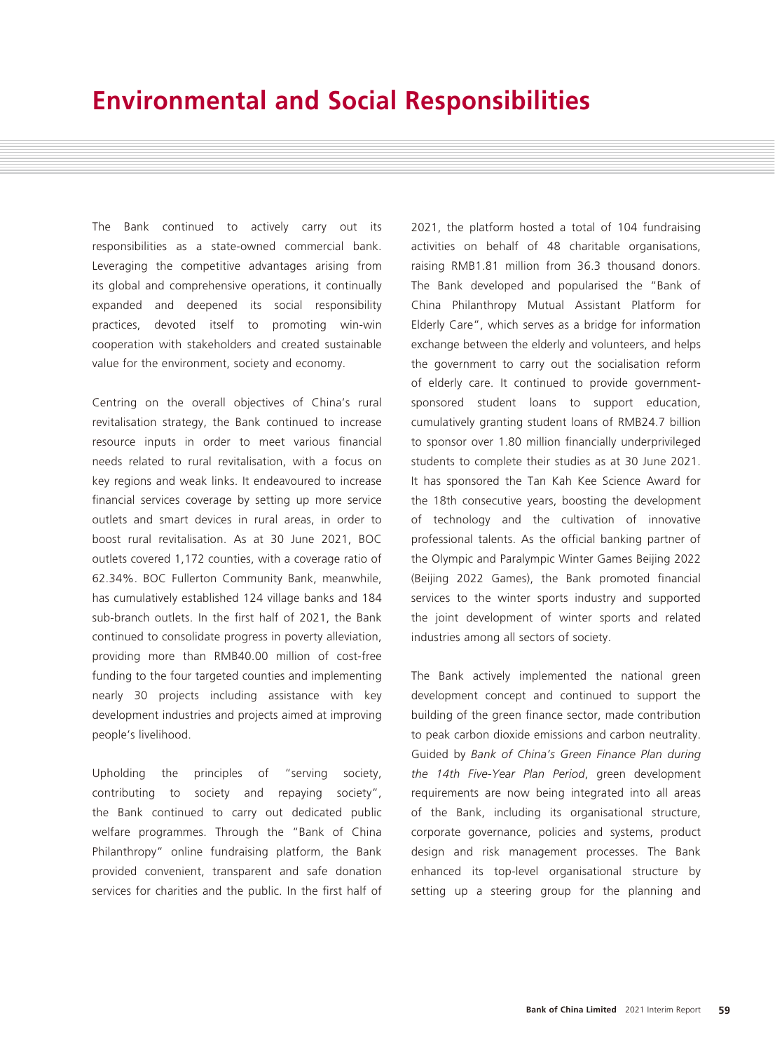The Bank continued to actively carry out its responsibilities as a state-owned commercial bank. Leveraging the competitive advantages arising from its global and comprehensive operations, it continually expanded and deepened its social responsibility practices, devoted itself to promoting win-win cooperation with stakeholders and created sustainable value for the environment, society and economy.

Centring on the overall objectives of China's rural revitalisation strategy, the Bank continued to increase resource inputs in order to meet various financial needs related to rural revitalisation, with a focus on key regions and weak links. It endeavoured to increase financial services coverage by setting up more service outlets and smart devices in rural areas, in order to boost rural revitalisation. As at 30 June 2021, BOC outlets covered 1,172 counties, with a coverage ratio of 62.34%. BOC Fullerton Community Bank, meanwhile, has cumulatively established 124 village banks and 184 sub-branch outlets. In the first half of 2021, the Bank continued to consolidate progress in poverty alleviation, providing more than RMB40.00 million of cost-free funding to the four targeted counties and implementing nearly 30 projects including assistance with key development industries and projects aimed at improving people's livelihood.

Upholding the principles of "serving society, contributing to society and repaying society", the Bank continued to carry out dedicated public welfare programmes. Through the "Bank of China Philanthropy" online fundraising platform, the Bank provided convenient, transparent and safe donation services for charities and the public. In the first half of 2021, the platform hosted a total of 104 fundraising activities on behalf of 48 charitable organisations, raising RMB1.81 million from 36.3 thousand donors. The Bank developed and popularised the "Bank of China Philanthropy Mutual Assistant Platform for Elderly Care", which serves as a bridge for information exchange between the elderly and volunteers, and helps the government to carry out the socialisation reform of elderly care. It continued to provide governmentsponsored student loans to support education, cumulatively granting student loans of RMB24.7 billion to sponsor over 1.80 million financially underprivileged students to complete their studies as at 30 June 2021. It has sponsored the Tan Kah Kee Science Award for the 18th consecutive years, boosting the development of technology and the cultivation of innovative professional talents. As the official banking partner of the Olympic and Paralympic Winter Games Beijing 2022 (Beijing 2022 Games), the Bank promoted financial services to the winter sports industry and supported the joint development of winter sports and related industries among all sectors of society.

The Bank actively implemented the national green development concept and continued to support the building of the green finance sector, made contribution to peak carbon dioxide emissions and carbon neutrality. Guided by *Bank of China's Green Finance Plan during the 14th Five-Year Plan Period*, green development requirements are now being integrated into all areas of the Bank, including its organisational structure, corporate governance, policies and systems, product design and risk management processes. The Bank enhanced its top-level organisational structure by setting up a steering group for the planning and